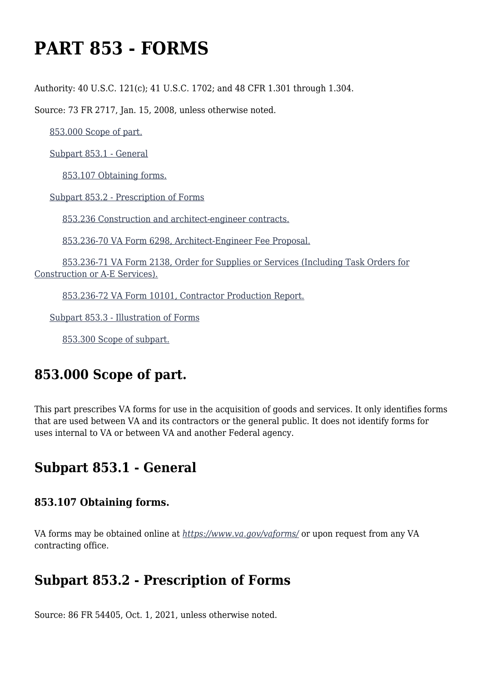# **PART 853 - FORMS**

Authority: 40 U.S.C. 121(c); 41 U.S.C. 1702; and 48 CFR 1.301 through 1.304.

Source: 73 FR 2717, Jan. 15, 2008, unless otherwise noted.

[853.000 Scope of part.](https://www.acquisition.gov/%5Brp:link:vaar-part-853%5D#Section_853_000_T48_5021643011)

[Subpart 853.1 - General](https://www.acquisition.gov/%5Brp:link:vaar-part-853%5D#Subpart_853_1_T48_50216431)

[853.107 Obtaining forms.](https://www.acquisition.gov/%5Brp:link:vaar-part-853%5D#Section_853_107_T48_5021643111)

[Subpart 853.2 - Prescription of Forms](https://www.acquisition.gov/%5Brp:link:vaar-part-853%5D#Subpart_853_2_T48_50216432)

[853.236 Construction and architect-engineer contracts.](https://www.acquisition.gov/%5Brp:link:vaar-part-853%5D#Section_853_236_T48_5021643211)

[853.236-70 VA Form 6298, Architect-Engineer Fee Proposal.](https://www.acquisition.gov/%5Brp:link:vaar-part-853%5D#Section_853_236_70_T48_5021643212)

 [853.236-71 VA Form 2138, Order for Supplies or Services \(Including Task Orders for](https://www.acquisition.gov/%5Brp:link:vaar-part-853%5D#Section_853_236_71_T48_5021643213) [Construction or A-E Services\).](https://www.acquisition.gov/%5Brp:link:vaar-part-853%5D#Section_853_236_71_T48_5021643213)

[853.236-72 VA Form 10101, Contractor Production Report.](https://www.acquisition.gov/%5Brp:link:vaar-part-853%5D#Section_853_236_72_T48_5021643214)

[Subpart 853.3 - Illustration of Forms](https://www.acquisition.gov/%5Brp:link:vaar-part-853%5D#Subpart_853_3_T48_50216433)

[853.300 Scope of subpart.](https://www.acquisition.gov/%5Brp:link:vaar-part-853%5D#Section_853_300_T48_5021643311)

# **853.000 Scope of part.**

This part prescribes VA forms for use in the acquisition of goods and services. It only identifies forms that are used between VA and its contractors or the general public. It does not identify forms for uses internal to VA or between VA and another Federal agency.

## **Subpart 853.1 - General**

#### **853.107 Obtaining forms.**

VA forms may be obtained online at *<https://www.va.gov/vaforms/>* or upon request from any VA contracting office.

## **Subpart 853.2 - Prescription of Forms**

Source: 86 FR 54405, Oct. 1, 2021, unless otherwise noted.